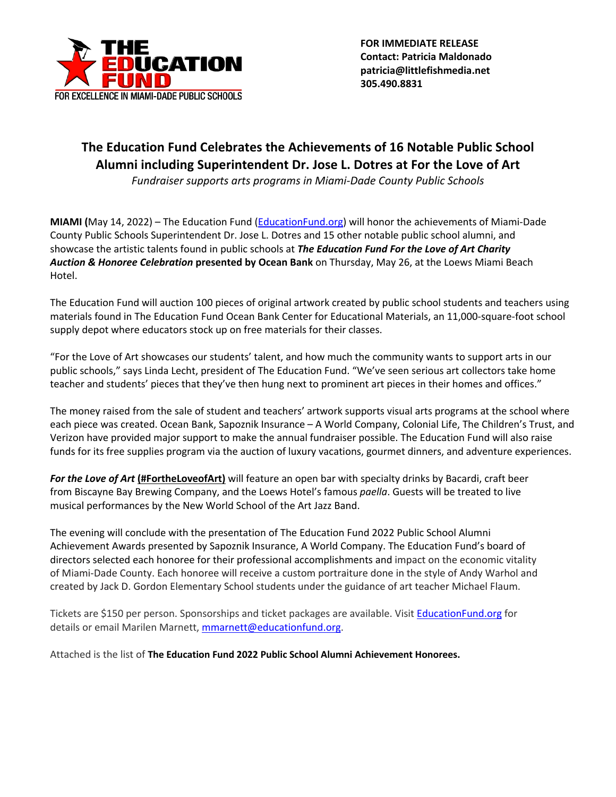

 **FOR IMMEDIATE RELEASE Contact: Patricia Maldonado patricia@littlefishmedia.net 305.490.8831**

## **The Education Fund Celebrates the Achievements of 16 Notable Public School Alumni including Superintendent Dr. Jose L. Dotres at For the Love of Art**

*Fundraiser supports arts programs in Miami-Dade County Public Schools*

**MIAMI (**May 14, 2022) – The Education Fund (EducationFund.org) will honor the achievements of Miami-Dade County Public Schools Superintendent Dr. Jose L. Dotres and 15 other notable public school alumni, and showcase the artistic talents found in public schools at *The Education Fund For the Love of Art Charity Auction & Honoree Celebration* **presented by Ocean Bank** on Thursday, May 26, at the Loews Miami Beach Hotel.

The Education Fund will auction 100 pieces of original artwork created by public school students and teachers using materials found in The Education Fund Ocean Bank Center for Educational Materials, an 11,000-square-foot school supply depot where educators stock up on free materials for their classes.

"For the Love of Art showcases our students' talent, and how much the community wants to support arts in our public schools," says Linda Lecht, president of The Education Fund. "We've seen serious art collectors take home teacher and students' pieces that they've then hung next to prominent art pieces in their homes and offices."

The money raised from the sale of student and teachers' artwork supports visual arts programs at the school where each piece was created. Ocean Bank, Sapoznik Insurance – A World Company, Colonial Life, The Children's Trust, and Verizon have provided major support to make the annual fundraiser possible. The Education Fund will also raise funds for its free supplies program via the auction of luxury vacations, gourmet dinners, and adventure experiences.

*For the Love of Art* **(#FortheLoveofArt)** will feature an open bar with specialty drinks by Bacardi, craft beer from Biscayne Bay Brewing Company, and the Loews Hotel's famous *paella*. Guests will be treated to live musical performances by the New World School of the Art Jazz Band.

The evening will conclude with the presentation of The Education Fund 2022 Public School Alumni Achievement Awards presented by Sapoznik Insurance, A World Company. The Education Fund's board of directors selected each honoree for their professional accomplishments and impact on the economic vitality of Miami-Dade County. Each honoree will receive a custom portraiture done in the style of Andy Warhol and created by Jack D. Gordon Elementary School students under the guidance of art teacher Michael Flaum.

Tickets are \$150 per person. Sponsorships and ticket packages are available. Visit **EducationFund.org** for details or email Marilen Marnett, mmarnett@educationfund.org.

Attached is the list of **The Education Fund 2022 Public School Alumni Achievement Honorees.**